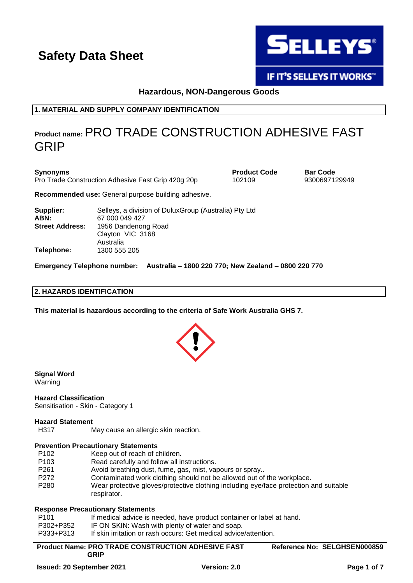

**IF IT'S SELLEYS IT WORKS"** 

### **Hazardous, NON-Dangerous Goods**

**1. MATERIAL AND SUPPLY COMPANY IDENTIFICATION**

### **Product name:**PRO TRADE CONSTRUCTION ADHESIVE FAST GRIP

| <b>Synonyms</b>        | Pro Trade Construction Adhesive Fast Grip 420g 20p                       | <b>Product Code</b><br>102109 | <b>Bar Code</b><br>9300697129949 |
|------------------------|--------------------------------------------------------------------------|-------------------------------|----------------------------------|
|                        | Recommended use: General purpose building adhesive.                      |                               |                                  |
| Supplier:<br>ABN:      | Selleys, a division of Dulux Group (Australia) Pty Ltd<br>67 000 049 427 |                               |                                  |
| <b>Street Address:</b> | 1956 Dandenong Road<br>Clayton VIC 3168                                  |                               |                                  |

**Emergency Telephone number: Australia – 1800 220 770; New Zealand – 0800 220 770**

### **2. HAZARDS IDENTIFICATION**

**Telephone:** 1300 555 205

Australia

**This material is hazardous according to the criteria of Safe Work Australia GHS 7.**



**Signal Word** Warning

**Hazard Classification**

### Sensitisation - Skin - Category 1

### **Hazard Statement**

H317 May cause an allergic skin reaction.

### **Prevention Precautionary Statements**

- P102 Keep out of reach of children.
- P103 Read carefully and follow all instructions.
- P261 Avoid breathing dust, fume, gas, mist, vapours or spray..
- P272 Contaminated work clothing should not be allowed out of the workplace.
- P280 Wear protective gloves/protective clothing including eye/face protection and suitable respirator.

#### **Response Precautionary Statements**

| P <sub>101</sub> | If medical advice is needed, have product container or label at hand. |
|------------------|-----------------------------------------------------------------------|
| P302+P352        | IF ON SKIN: Wash with plenty of water and soap.                       |

P333+P313 If skin irritation or rash occurs: Get medical advice/attention.

| <b>Product Name: PRO TRADE CONSTRUCTION ADHESIVE FAST</b> | Reference No: SELGHSEN000859 |
|-----------------------------------------------------------|------------------------------|
| GRIP                                                      |                              |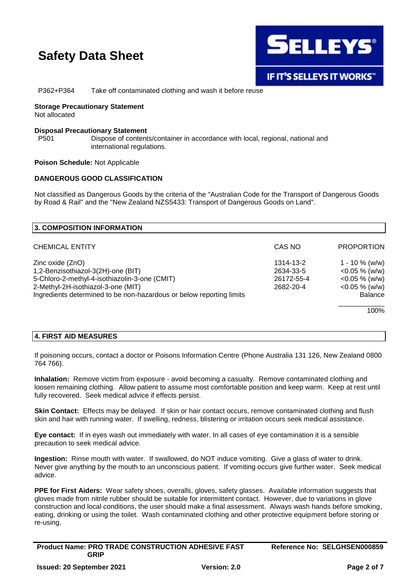

P362+P364 Take off contaminated clothing and wash it before reuse

### **Storage Precautionary Statement**

Not allocated

### **Disposal Precautionary Statement**

P501 Dispose of contents/container in accordance with local, regional, national and international regulations.

**Poison Schedule:** Not Applicable

### **DANGEROUS GOOD CLASSIFICATION**

Not classified as Dangerous Goods by the criteria of the "Australian Code for the Transport of Dangerous Goods by Road & Rail" and the "New Zealand NZS5433: Transport of Dangerous Goods on Land".

| 3. COMPOSITION INFORMATION                                           |            |                   |
|----------------------------------------------------------------------|------------|-------------------|
| <b>CHEMICAL ENTITY</b>                                               | CAS NO     | <b>PROPORTION</b> |
| Zinc oxide (ZnO)                                                     | 1314-13-2  | 1 - 10 % (w/w)    |
| 1,2-Benzisothiazol-3(2H)-one (BIT)                                   | 2634-33-5  | $<$ 0.05 % (w/w)  |
| 5-Chloro-2-methyl-4-isothiazolin-3-one (CMIT)                        | 26172-55-4 | $<$ 0.05 % (w/w)  |
| 2-Methyl-2H-isothiazol-3-one (MIT)                                   | 2682-20-4  | $<$ 0.05 % (w/w)  |
| Ingredients determined to be non-hazardous or below reporting limits |            | <b>Balance</b>    |
|                                                                      |            | 100%              |

### **4. FIRST AID MEASURES**

If poisoning occurs, contact a doctor or Poisons Information Centre (Phone Australia 131 126, New Zealand 0800 764 766).

**Inhalation:** Remove victim from exposure - avoid becoming a casualty. Remove contaminated clothing and loosen remaining clothing. Allow patient to assume most comfortable position and keep warm. Keep at rest until fully recovered. Seek medical advice if effects persist.

**Skin Contact:** Effects may be delayed. If skin or hair contact occurs, remove contaminated clothing and flush skin and hair with running water. If swelling, redness, blistering or irritation occurs seek medical assistance.

**Eye contact:** If in eyes wash out immediately with water. In all cases of eye contamination it is a sensible precaution to seek medical advice.

**Ingestion:** Rinse mouth with water. If swallowed, do NOT induce vomiting. Give a glass of water to drink. Never give anything by the mouth to an unconscious patient. If vomiting occurs give further water. Seek medical advice.

**PPE for First Aiders:** Wear safety shoes, overalls, gloves, safety glasses. Available information suggests that gloves made from nitrile rubber should be suitable for intermittent contact. However, due to variations in glove construction and local conditions, the user should make a final assessment. Always wash hands before smoking, eating, drinking or using the toilet. Wash contaminated clothing and other protective equipment before storing or re-using.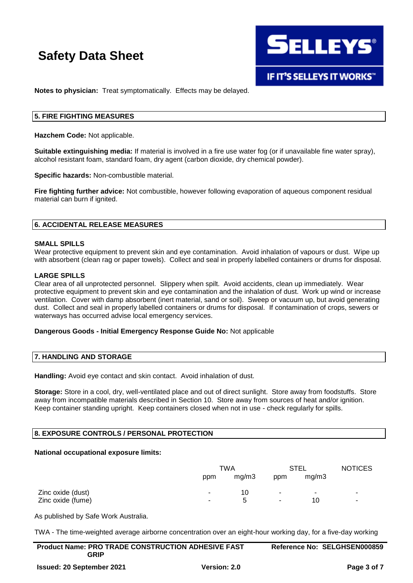

**Notes to physician:** Treat symptomatically. Effects may be delayed.

### **5. FIRE FIGHTING MEASURES**

**Hazchem Code:** Not applicable.

**Suitable extinguishing media:** If material is involved in a fire use water fog (or if unavailable fine water spray), alcohol resistant foam, standard foam, dry agent (carbon dioxide, dry chemical powder).

**Specific hazards:** Non-combustible material.

**Fire fighting further advice:** Not combustible, however following evaporation of aqueous component residual material can burn if ignited.

### **6. ACCIDENTAL RELEASE MEASURES**

### **SMALL SPILLS**

Wear protective equipment to prevent skin and eye contamination. Avoid inhalation of vapours or dust. Wipe up with absorbent (clean rag or paper towels). Collect and seal in properly labelled containers or drums for disposal.

### **LARGE SPILLS**

Clear area of all unprotected personnel. Slippery when spilt. Avoid accidents, clean up immediately. Wear protective equipment to prevent skin and eye contamination and the inhalation of dust. Work up wind or increase ventilation. Cover with damp absorbent (inert material, sand or soil). Sweep or vacuum up, but avoid generating dust. Collect and seal in properly labelled containers or drums for disposal. If contamination of crops, sewers or waterways has occurred advise local emergency services.

### **Dangerous Goods - Initial Emergency Response Guide No:** Not applicable

### **7. HANDLING AND STORAGE**

**Handling:** Avoid eye contact and skin contact. Avoid inhalation of dust.

**Storage:** Store in a cool, dry, well-ventilated place and out of direct sunlight. Store away from foodstuffs. Store away from incompatible materials described in Section 10. Store away from sources of heat and/or ignition. Keep container standing upright. Keep containers closed when not in use - check regularly for spills.

### **8. EXPOSURE CONTROLS / PERSONAL PROTECTION**

### **National occupational exposure limits:**

|                   | TWA |       | STEL   |                          | <b>NOTICES</b> |
|-------------------|-----|-------|--------|--------------------------|----------------|
|                   | ppm | mg/m3 | ppm    | mg/m3                    |                |
| Zinc oxide (dust) |     | 10    | ۰.     | $\overline{\phantom{a}}$ |                |
| Zinc oxide (fume) | ۰.  | b     | $\sim$ | 10                       | ۰              |

As published by Safe Work Australia.

TWA - The time-weighted average airborne concentration over an eight-hour working day, for a five-day working

| <b>Product Name: PRO TRADE CONSTRUCTION ADHESIVE FAST</b> |                     | Reference No: SELGHSEN000859 |
|-----------------------------------------------------------|---------------------|------------------------------|
| GRIP                                                      |                     |                              |
| <b>Issued: 20 September 2021</b>                          | <b>Version: 2.0</b> | Page 3 of 7                  |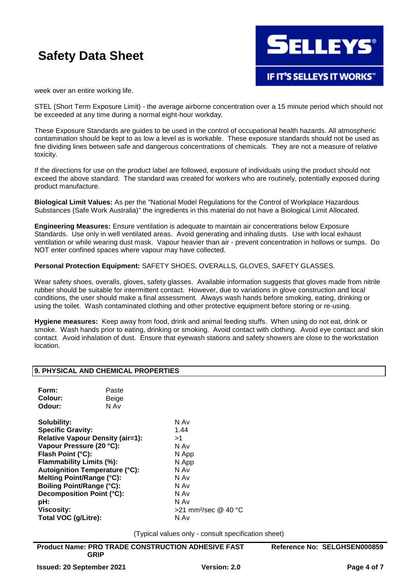

week over an entire working life.

STEL (Short Term Exposure Limit) - the average airborne concentration over a 15 minute period which should not be exceeded at any time during a normal eight-hour workday.

These Exposure Standards are guides to be used in the control of occupational health hazards. All atmospheric contamination should be kept to as low a level as is workable. These exposure standards should not be used as fine dividing lines between safe and dangerous concentrations of chemicals. They are not a measure of relative toxicity.

If the directions for use on the product label are followed, exposure of individuals using the product should not exceed the above standard. The standard was created for workers who are routinely, potentially exposed during product manufacture.

**Biological Limit Values:** As per the "National Model Regulations for the Control of Workplace Hazardous Substances (Safe Work Australia)" the ingredients in this material do not have a Biological Limit Allocated.

**Engineering Measures:** Ensure ventilation is adequate to maintain air concentrations below Exposure Standards. Use only in well ventilated areas. Avoid generating and inhaling dusts. Use with local exhaust ventilation or while wearing dust mask. Vapour heavier than air - prevent concentration in hollows or sumps. Do NOT enter confined spaces where vapour may have collected.

**Personal Protection Equipment:** SAFETY SHOES, OVERALLS, GLOVES, SAFETY GLASSES.

Wear safety shoes, overalls, gloves, safety glasses. Available information suggests that gloves made from nitrile rubber should be suitable for intermittent contact. However, due to variations in glove construction and local conditions, the user should make a final assessment. Always wash hands before smoking, eating, drinking or using the toilet. Wash contaminated clothing and other protective equipment before storing or re-using.

**Hygiene measures:** Keep away from food, drink and animal feeding stuffs. When using do not eat, drink or smoke. Wash hands prior to eating, drinking or smoking. Avoid contact with clothing. Avoid eye contact and skin contact. Avoid inhalation of dust. Ensure that eyewash stations and safety showers are close to the workstation location.

### **9. PHYSICAL AND CHEMICAL PROPERTIES**

| Form:<br>Colour:<br>Odour:                                   | Paste<br>Beige<br>N Av |            |
|--------------------------------------------------------------|------------------------|------------|
| Solubility:                                                  |                        | N Av       |
| <b>Specific Gravity:</b><br>Relative Vapour Density (air=1): |                        | 1.44<br>>1 |
|                                                              |                        |            |
| Flash Point (°C):                                            |                        | N Ap       |

**N** App **Flammability Limits (%):** N App **Autoignition Temperature (°C):** N Av **Melting Point/Range (°C):** N Av **Boiling Point/Range (°C):** N Av **Decomposition Point (°C):** N Av **pH:** N Av **Viscosity:** >21 mm²/sec @ 40 °C **Total VOC (g/Litre):** N Av

(Typical values only - consult specification sheet)

| <b>Product Name: PRO TRADE CONSTRUCTION ADHESIVE FAST</b> | Reference No: SELGHSEN000859 |
|-----------------------------------------------------------|------------------------------|
| <b>GRIP</b>                                               |                              |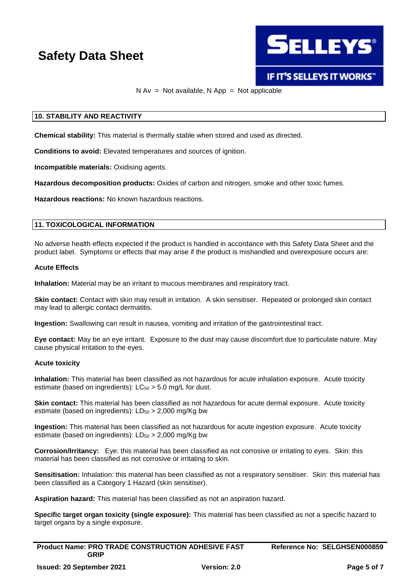

### **IF IT'S SELLEYS IT WORKS"**

### $N Av = Not available, N App = Not applicable$

### **10. STABILITY AND REACTIVITY**

**Chemical stability:** This material is thermally stable when stored and used as directed.

**Conditions to avoid:** Elevated temperatures and sources of ignition.

**Incompatible materials:** Oxidising agents.

**Hazardous decomposition products:** Oxides of carbon and nitrogen, smoke and other toxic fumes.

**Hazardous reactions:** No known hazardous reactions.

### **11. TOXICOLOGICAL INFORMATION**

No adverse health effects expected if the product is handled in accordance with this Safety Data Sheet and the product label. Symptoms or effects that may arise if the product is mishandled and overexposure occurs are:

#### **Acute Effects**

**Inhalation:** Material may be an irritant to mucous membranes and respiratory tract.

**Skin contact:** Contact with skin may result in irritation. A skin sensitiser. Repeated or prolonged skin contact may lead to allergic contact dermatitis.

**Ingestion:** Swallowing can result in nausea, vomiting and irritation of the gastrointestinal tract.

**Eye contact:** May be an eye irritant. Exposure to the dust may cause discomfort due to particulate nature. May cause physical irritation to the eyes.

### **Acute toxicity**

**Inhalation:** This material has been classified as not hazardous for acute inhalation exposure. Acute toxicity estimate (based on ingredients):  $LC_{50} > 5.0$  mg/L for dust.

**Skin contact:** This material has been classified as not hazardous for acute dermal exposure. Acute toxicity estimate (based on ingredients):  $LD_{50} > 2,000$  mg/Kg bw

**Ingestion:** This material has been classified as not hazardous for acute ingestion exposure. Acute toxicity estimate (based on ingredients):  $LD_{50} > 2,000$  mg/Kg bw

**Corrosion/Irritancy:** Eye: this material has been classified as not corrosive or irritating to eyes. Skin: this material has been classified as not corrosive or irritating to skin.

**Sensitisation:** Inhalation: this material has been classified as not a respiratory sensitiser. Skin: this material has been classified as a Category 1 Hazard (skin sensitiser).

**Aspiration hazard:** This material has been classified as not an aspiration hazard.

**Specific target organ toxicity (single exposure):** This material has been classified as not a specific hazard to target organs by a single exposure.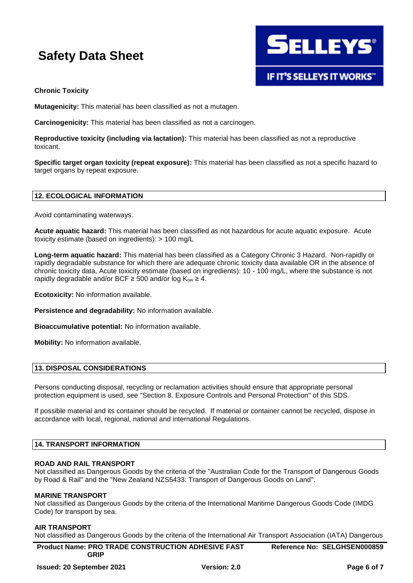

### **Chronic Toxicity**

**Mutagenicity:** This material has been classified as not a mutagen.

**Carcinogenicity:** This material has been classified as not a carcinogen.

**Reproductive toxicity (including via lactation):** This material has been classified as not a reproductive toxicant.

**Specific target organ toxicity (repeat exposure):** This material has been classified as not a specific hazard to target organs by repeat exposure.

### **12. ECOLOGICAL INFORMATION**

Avoid contaminating waterways.

**Acute aquatic hazard:** This material has been classified as not hazardous for acute aquatic exposure. Acute toxicity estimate (based on ingredients): > 100 mg/L

**Long-term aquatic hazard:** This material has been classified as a Category Chronic 3 Hazard. Non-rapidly or rapidly degradable substance for which there are adequate chronic toxicity data available OR in the absence of chronic toxicity data, Acute toxicity estimate (based on ingredients): 10 - 100 mg/L, where the substance is not rapidly degradable and/or BCF  $\geq$  500 and/or log K<sub>ow</sub>  $\geq$  4.

**Ecotoxicity:** No information available.

**Persistence and degradability:** No information available.

**Bioaccumulative potential:** No information available.

**Mobility:** No information available.

### **13. DISPOSAL CONSIDERATIONS**

Persons conducting disposal, recycling or reclamation activities should ensure that appropriate personal protection equipment is used, see "Section 8. Exposure Controls and Personal Protection" of this SDS.

If possible material and its container should be recycled. If material or container cannot be recycled, dispose in accordance with local, regional, national and international Regulations.

### **14. TRANSPORT INFORMATION**

### **ROAD AND RAIL TRANSPORT**

Not classified as Dangerous Goods by the criteria of the "Australian Code for the Transport of Dangerous Goods by Road & Rail" and the "New Zealand NZS5433: Transport of Dangerous Goods on Land".

### **MARINE TRANSPORT**

Not classified as Dangerous Goods by the criteria of the International Maritime Dangerous Goods Code (IMDG Code) for transport by sea.

### **AIR TRANSPORT**

Not classified as Dangerous Goods by the criteria of the International Air Transport Association (IATA) Dangerous

| <b>Product Name: PRO TRADE CONSTRUCTION ADHESIVE FAST</b> | Reference No: SELGHSEN000859 |
|-----------------------------------------------------------|------------------------------|
| <b>GRIP</b>                                               |                              |